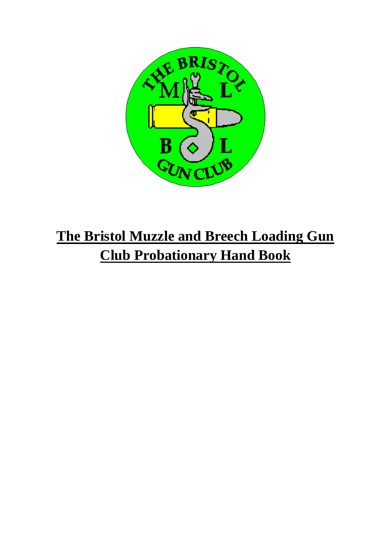

## **The Bristol Muzzle and Breech Loading Gun Club Probationary Hand Book**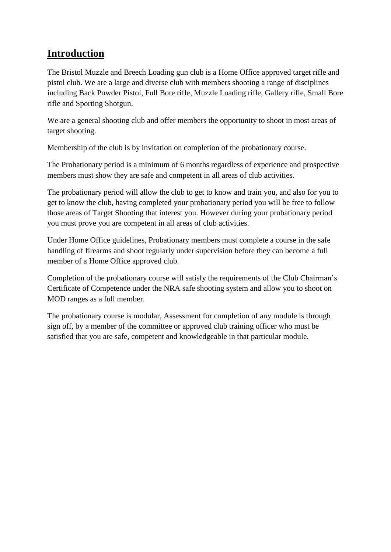## **Introduction**

The Bristol Muzzle and Breech Loading gun club is a Home Office approved target rifle and pistol club. We are a large and diverse club with members shooting a range of disciplines including Back Powder Pistol, Full Bore rifle, Muzzle Loading rifle, Gallery rifle, Small Bore rifle and Sporting Shotgun.

We are a general shooting club and offer members the opportunity to shoot in most areas of target shooting.

Membership of the club is by invitation on completion of the probationary course.

The Probationary period is a minimum of 6 months regardless of experience and prospective members must show they are safe and competent in all areas of club activities.

The probationary period will allow the club to get to know and train you, and also for you to get to know the club, having completed your probationary period you will be free to follow those areas of Target Shooting that interest you. However during your probationary period you must prove you are competent in all areas of club activities.

Under Home Office guidelines, Probationary members must complete a course in the safe handling of firearms and shoot regularly under supervision before they can become a full member of a Home Office approved club.

Completion of the probationary course will satisfy the requirements of the Club Chairman's Certificate of Competence under the NRA safe shooting system and allow you to shoot on MOD ranges as a full member.

The probationary course is modular, Assessment for completion of any module is through sign off, by a member of the committee or approved club training officer who must be satisfied that you are safe, competent and knowledgeable in that particular module.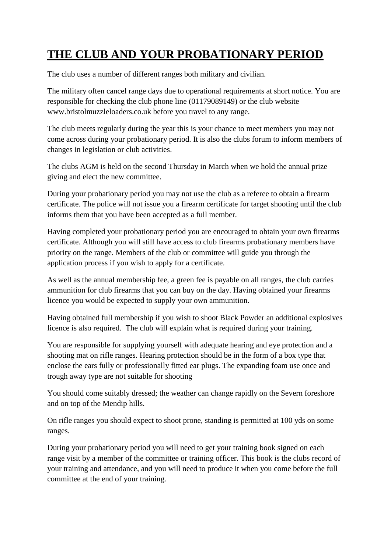## **THE CLUB AND YOUR PROBATIONARY PERIOD**

The club uses a number of different ranges both military and civilian.

The military often cancel range days due to operational requirements at short notice. You are responsible for checking the club phone line (01179089149) or the club website www.bristolmuzzleloaders.co.uk before you travel to any range.

The club meets regularly during the year this is your chance to meet members you may not come across during your probationary period. It is also the clubs forum to inform members of changes in legislation or club activities.

The clubs AGM is held on the second Thursday in March when we hold the annual prize giving and elect the new committee.

During your probationary period you may not use the club as a referee to obtain a firearm certificate. The police will not issue you a firearm certificate for target shooting until the club informs them that you have been accepted as a full member.

Having completed your probationary period you are encouraged to obtain your own firearms certificate. Although you will still have access to club firearms probationary members have priority on the range. Members of the club or committee will guide you through the application process if you wish to apply for a certificate.

As well as the annual membership fee, a green fee is payable on all ranges, the club carries ammunition for club firearms that you can buy on the day. Having obtained your firearms licence you would be expected to supply your own ammunition.

Having obtained full membership if you wish to shoot Black Powder an additional explosives licence is also required. The club will explain what is required during your training.

You are responsible for supplying yourself with adequate hearing and eye protection and a shooting mat on rifle ranges. Hearing protection should be in the form of a box type that enclose the ears fully or professionally fitted ear plugs. The expanding foam use once and trough away type are not suitable for shooting

You should come suitably dressed; the weather can change rapidly on the Severn foreshore and on top of the Mendip hills.

On rifle ranges you should expect to shoot prone, standing is permitted at 100 yds on some ranges.

During your probationary period you will need to get your training book signed on each range visit by a member of the committee or training officer. This book is the clubs record of your training and attendance, and you will need to produce it when you come before the full committee at the end of your training.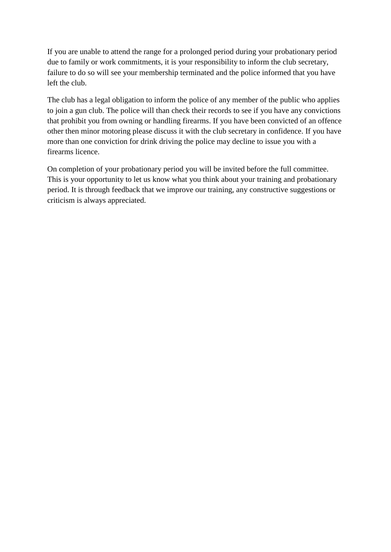If you are unable to attend the range for a prolonged period during your probationary period due to family or work commitments, it is your responsibility to inform the club secretary, failure to do so will see your membership terminated and the police informed that you have left the club.

The club has a legal obligation to inform the police of any member of the public who applies to join a gun club. The police will than check their records to see if you have any convictions that prohibit you from owning or handling firearms. If you have been convicted of an offence other then minor motoring please discuss it with the club secretary in confidence. If you have more than one conviction for drink driving the police may decline to issue you with a firearms licence.

On completion of your probationary period you will be invited before the full committee. This is your opportunity to let us know what you think about your training and probationary period. It is through feedback that we improve our training, any constructive suggestions or criticism is always appreciated.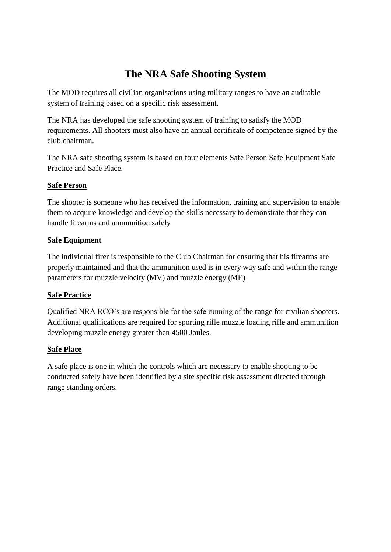## **The NRA Safe Shooting System**

The MOD requires all civilian organisations using military ranges to have an auditable system of training based on a specific risk assessment.

The NRA has developed the safe shooting system of training to satisfy the MOD requirements. All shooters must also have an annual certificate of competence signed by the club chairman.

The NRA safe shooting system is based on four elements Safe Person Safe Equipment Safe Practice and Safe Place.

#### **Safe Person**

The shooter is someone who has received the information, training and supervision to enable them to acquire knowledge and develop the skills necessary to demonstrate that they can handle firearms and ammunition safely

#### **Safe Equipment**

The individual firer is responsible to the Club Chairman for ensuring that his firearms are properly maintained and that the ammunition used is in every way safe and within the range parameters for muzzle velocity (MV) and muzzle energy (ME)

#### **Safe Practice**

Qualified NRA RCO's are responsible for the safe running of the range for civilian shooters. Additional qualifications are required for sporting rifle muzzle loading rifle and ammunition developing muzzle energy greater then 4500 Joules.

#### **Safe Place**

A safe place is one in which the controls which are necessary to enable shooting to be conducted safely have been identified by a site specific risk assessment directed through range standing orders.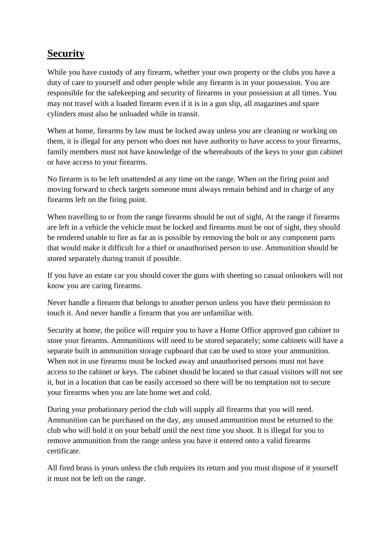## **Security**

While you have custody of any firearm, whether your own property or the clubs you have a duty of care to yourself and other people while any firearm is in your possession. You are responsible for the safekeeping and security of firearms in your possession at all times. You may not travel with a loaded firearm even if it is in a gun slip, all magazines and spare cylinders must also be unloaded while in transit.

When at home, firearms by law must be locked away unless you are cleaning or working on them, it is illegal for any person who does not have authority to have access to your firearms, family members must not have knowledge of the whereabouts of the keys to your gun cabinet or have access to your firearms.

No firearm is to be left unattended at any time on the range. When on the firing point and moving forward to check targets someone must always remain behind and in charge of any firearms left on the firing point.

When travelling to or from the range firearms should be out of sight, At the range if firearms are left in a vehicle the vehicle must be locked and firearms must be out of sight, they should be rendered unable to fire as far as is possible by removing the bolt or any component parts that would make it difficult for a thief or unauthorised person to use. Ammunition should be stored separately during transit if possible.

If you have an estate car you should cover the guns with sheeting so casual onlookers will not know you are caring firearms.

Never handle a firearm that belongs to another person unless you have their permission to touch it. And never handle a firearm that you are unfamiliar with.

Security at home, the police will require you to have a Home Office approved gun cabinet to store your firearms. Ammunitions will need to be stored separately; some cabinets will have a separate built in ammunition storage cupboard that can be used to store your ammunition. When not in use firearms must be locked away and unauthorised persons must not have access to the cabinet or keys. The cabinet should be located so that casual visitors will not see it, but in a location that can be easily accessed so there will be no temptation not to secure your firearms when you are late home wet and cold.

During your probationary period the club will supply all firearms that you will need. Ammunition can be purchased on the day, any unused ammunition must be returned to the club who will hold it on your behalf until the next time you shoot. It is illegal for you to remove ammunition from the range unless you have it entered onto a valid firearms certificate.

All fired brass is yours unless the club requires its return and you must dispose of it yourself it must not be left on the range.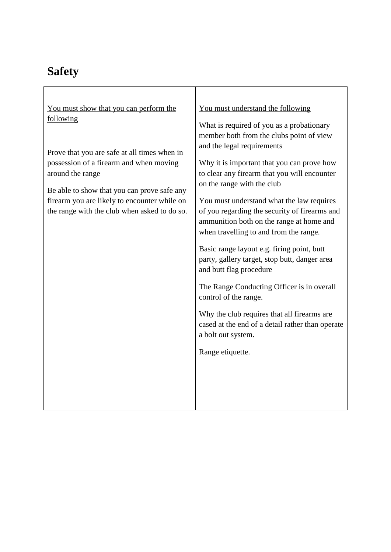## **Safety**

| You must show that you can perform the<br>following                                                                                                                                                                                                        | You must understand the following<br>What is required of you as a probationary<br>member both from the clubs point of view                                                                                                                                                                                                                                                                                                                                                                                                                                                                                                                                                               |  |  |  |  |
|------------------------------------------------------------------------------------------------------------------------------------------------------------------------------------------------------------------------------------------------------------|------------------------------------------------------------------------------------------------------------------------------------------------------------------------------------------------------------------------------------------------------------------------------------------------------------------------------------------------------------------------------------------------------------------------------------------------------------------------------------------------------------------------------------------------------------------------------------------------------------------------------------------------------------------------------------------|--|--|--|--|
| Prove that you are safe at all times when in<br>possession of a firearm and when moving<br>around the range<br>Be able to show that you can prove safe any<br>firearm you are likely to encounter while on<br>the range with the club when asked to do so. | and the legal requirements<br>Why it is important that you can prove how<br>to clear any firearm that you will encounter<br>on the range with the club<br>You must understand what the law requires<br>of you regarding the security of firearms and<br>ammunition both on the range at home and<br>when travelling to and from the range.<br>Basic range layout e.g. firing point, butt<br>party, gallery target, stop butt, danger area<br>and butt flag procedure<br>The Range Conducting Officer is in overall<br>control of the range.<br>Why the club requires that all firearms are<br>cased at the end of a detail rather than operate<br>a bolt out system.<br>Range etiquette. |  |  |  |  |

T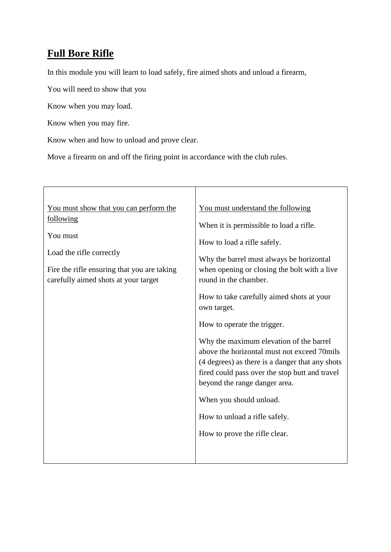## **Full Bore Rifle**

In this module you will learn to load safely, fire aimed shots and unload a firearm,

You will need to show that you

Know when you may load.

Know when you may fire.

Know when and how to unload and prove clear.

Move a firearm on and off the firing point in accordance with the club rules.

| You must show that you can perform the                                                                                                   | You must understand the following                                                                                                                                                                                            |  |  |  |
|------------------------------------------------------------------------------------------------------------------------------------------|------------------------------------------------------------------------------------------------------------------------------------------------------------------------------------------------------------------------------|--|--|--|
| following<br>You must<br>Load the rifle correctly<br>Fire the rifle ensuring that you are taking<br>carefully aimed shots at your target | When it is permissible to load a rifle.<br>How to load a rifle safely.<br>Why the barrel must always be horizontal<br>when opening or closing the bolt with a live                                                           |  |  |  |
|                                                                                                                                          | round in the chamber.<br>How to take carefully aimed shots at your<br>own target.                                                                                                                                            |  |  |  |
|                                                                                                                                          | How to operate the trigger.                                                                                                                                                                                                  |  |  |  |
|                                                                                                                                          | Why the maximum elevation of the barrel<br>above the horizontal must not exceed 70mils<br>(4 degrees) as there is a danger that any shots<br>fired could pass over the stop butt and travel<br>beyond the range danger area. |  |  |  |
|                                                                                                                                          | When you should unload.                                                                                                                                                                                                      |  |  |  |
|                                                                                                                                          | How to unload a rifle safely.                                                                                                                                                                                                |  |  |  |
|                                                                                                                                          | How to prove the rifle clear.                                                                                                                                                                                                |  |  |  |
|                                                                                                                                          |                                                                                                                                                                                                                              |  |  |  |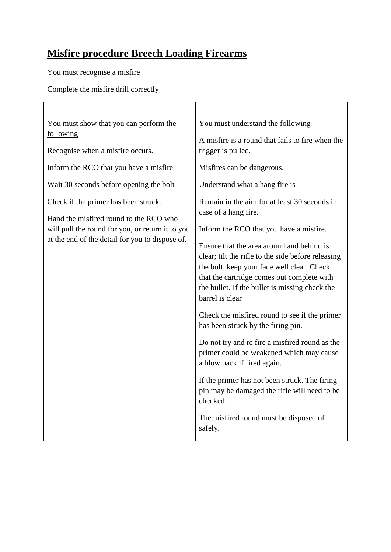## **Misfire procedure Breech Loading Firearms**

You must recognise a misfire

Complete the misfire drill correctly

| You must show that you can perform the<br>following                                                                                                                                   | You must understand the following                                                                                                                                                                                                                                                                                                                                                                                                                                                                                                                                                                       |  |  |  |  |
|---------------------------------------------------------------------------------------------------------------------------------------------------------------------------------------|---------------------------------------------------------------------------------------------------------------------------------------------------------------------------------------------------------------------------------------------------------------------------------------------------------------------------------------------------------------------------------------------------------------------------------------------------------------------------------------------------------------------------------------------------------------------------------------------------------|--|--|--|--|
| Recognise when a misfire occurs.                                                                                                                                                      | A misfire is a round that fails to fire when the<br>trigger is pulled.                                                                                                                                                                                                                                                                                                                                                                                                                                                                                                                                  |  |  |  |  |
| Inform the RCO that you have a misfire                                                                                                                                                | Misfires can be dangerous.                                                                                                                                                                                                                                                                                                                                                                                                                                                                                                                                                                              |  |  |  |  |
| Wait 30 seconds before opening the bolt                                                                                                                                               | Understand what a hang fire is                                                                                                                                                                                                                                                                                                                                                                                                                                                                                                                                                                          |  |  |  |  |
| Check if the primer has been struck.<br>Hand the misfired round to the RCO who<br>will pull the round for you, or return it to you<br>at the end of the detail for you to dispose of. | Remain in the aim for at least 30 seconds in<br>case of a hang fire.<br>Inform the RCO that you have a misfire.<br>Ensure that the area around and behind is<br>clear; tilt the rifle to the side before releasing<br>the bolt, keep your face well clear. Check<br>that the cartridge comes out complete with<br>the bullet. If the bullet is missing check the<br>barrel is clear<br>Check the misfired round to see if the primer<br>has been struck by the firing pin.<br>Do not try and re fire a misfired round as the<br>primer could be weakened which may cause<br>a blow back if fired again. |  |  |  |  |
|                                                                                                                                                                                       | If the primer has not been struck. The firing<br>pin may be damaged the rifle will need to be<br>checked.                                                                                                                                                                                                                                                                                                                                                                                                                                                                                               |  |  |  |  |
|                                                                                                                                                                                       | The misfired round must be disposed of<br>safely.                                                                                                                                                                                                                                                                                                                                                                                                                                                                                                                                                       |  |  |  |  |

T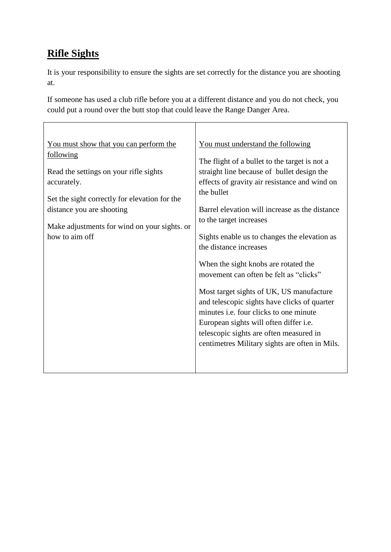## **Rifle Sights**

It is your responsibility to ensure the sights are set correctly for the distance you are shooting at.

If someone has used a club rifle before you at a different distance and you do not check, you could put a round over the butt stop that could leave the Range Danger Area.

| You must show that you can perform the<br><u>following</u><br>Read the settings on your rifle sights<br>accurately.<br>Set the sight correctly for elevation for the<br>distance you are shooting<br>Make adjustments for wind on your sights. or<br>how to aim off | You must understand the following<br>The flight of a bullet to the target is not a<br>straight line because of bullet design the<br>effects of gravity air resistance and wind on<br>the bullet<br>Barrel elevation will increase as the distance<br>to the target increases<br>Sights enable us to changes the elevation as<br>the distance increases<br>When the sight knobs are rotated the<br>movement can often be felt as "clicks"<br>Most target sights of UK, US manufacture<br>and telescopic sights have clicks of quarter<br>minutes <i>i.e.</i> four clicks to one minute<br>European sights will often differ <i>i.e.</i><br>telescopic sights are often measured in<br>centimetres Military sights are often in Mils. |
|---------------------------------------------------------------------------------------------------------------------------------------------------------------------------------------------------------------------------------------------------------------------|-------------------------------------------------------------------------------------------------------------------------------------------------------------------------------------------------------------------------------------------------------------------------------------------------------------------------------------------------------------------------------------------------------------------------------------------------------------------------------------------------------------------------------------------------------------------------------------------------------------------------------------------------------------------------------------------------------------------------------------|
|                                                                                                                                                                                                                                                                     |                                                                                                                                                                                                                                                                                                                                                                                                                                                                                                                                                                                                                                                                                                                                     |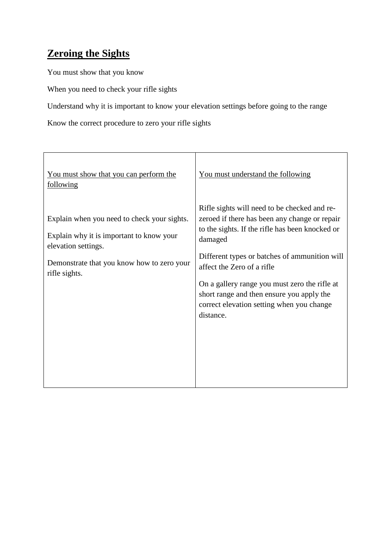## **Zeroing the Sights**

You must show that you know

When you need to check your rifle sights

Understand why it is important to know your elevation settings before going to the range

Know the correct procedure to zero your rifle sights

| You must show that you can perform the<br>following                                                                                                                           | You must understand the following                                                                                                                                                                                                                                                                                                                                                                  |
|-------------------------------------------------------------------------------------------------------------------------------------------------------------------------------|----------------------------------------------------------------------------------------------------------------------------------------------------------------------------------------------------------------------------------------------------------------------------------------------------------------------------------------------------------------------------------------------------|
| Explain when you need to check your sights.<br>Explain why it is important to know your<br>elevation settings.<br>Demonstrate that you know how to zero your<br>rifle sights. | Rifle sights will need to be checked and re-<br>zeroed if there has been any change or repair<br>to the sights. If the rifle has been knocked or<br>damaged<br>Different types or batches of ammunition will<br>affect the Zero of a rifle<br>On a gallery range you must zero the rifle at<br>short range and then ensure you apply the<br>correct elevation setting when you change<br>distance. |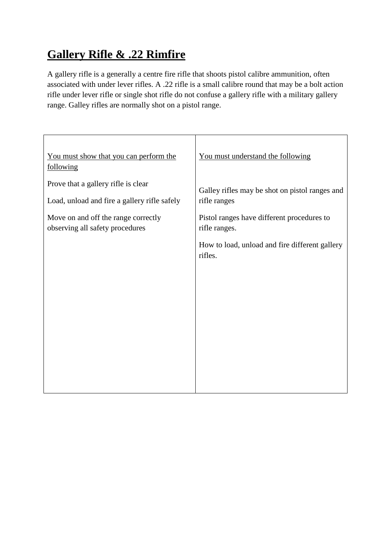## **Gallery Rifle & .22 Rimfire**

A gallery rifle is a generally a centre fire rifle that shoots pistol calibre ammunition, often associated with under lever rifles. A .22 rifle is a small calibre round that may be a bolt action rifle under lever rifle or single shot rifle do not confuse a gallery rifle with a military gallery range. Galley rifles are normally shot on a pistol range.

| You must show that you can perform the<br>following                                 | You must understand the following                              |  |  |  |  |
|-------------------------------------------------------------------------------------|----------------------------------------------------------------|--|--|--|--|
| Prove that a gallery rifle is clear<br>Load, unload and fire a gallery rifle safely | Galley rifles may be shot on pistol ranges and<br>rifle ranges |  |  |  |  |
| Move on and off the range correctly<br>observing all safety procedures              | Pistol ranges have different procedures to<br>rifle ranges.    |  |  |  |  |
|                                                                                     | How to load, unload and fire different gallery<br>rifles.      |  |  |  |  |
|                                                                                     |                                                                |  |  |  |  |
|                                                                                     |                                                                |  |  |  |  |
|                                                                                     |                                                                |  |  |  |  |
|                                                                                     |                                                                |  |  |  |  |
|                                                                                     |                                                                |  |  |  |  |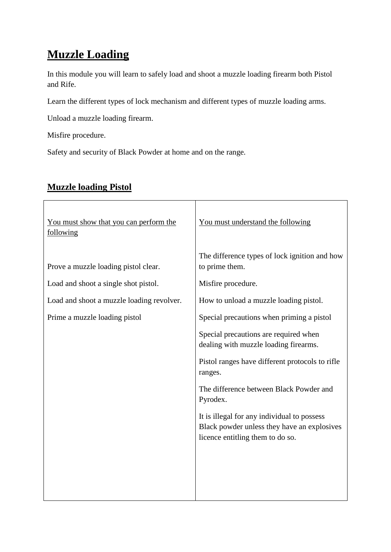## **Muzzle Loading**

In this module you will learn to safely load and shoot a muzzle loading firearm both Pistol and Rife.

Learn the different types of lock mechanism and different types of muzzle loading arms.

Unload a muzzle loading firearm.

Misfire procedure.

Safety and security of Black Powder at home and on the range.

| You must show that you can perform the<br>following | You must understand the following                                                                                              |  |  |  |  |
|-----------------------------------------------------|--------------------------------------------------------------------------------------------------------------------------------|--|--|--|--|
| Prove a muzzle loading pistol clear.                | The difference types of lock ignition and how<br>to prime them.                                                                |  |  |  |  |
| Load and shoot a single shot pistol.                | Misfire procedure.                                                                                                             |  |  |  |  |
| Load and shoot a muzzle loading revolver.           | How to unload a muzzle loading pistol.                                                                                         |  |  |  |  |
| Prime a muzzle loading pistol                       | Special precautions when priming a pistol                                                                                      |  |  |  |  |
|                                                     | Special precautions are required when<br>dealing with muzzle loading firearms.                                                 |  |  |  |  |
|                                                     | Pistol ranges have different protocols to rifle<br>ranges.                                                                     |  |  |  |  |
|                                                     | The difference between Black Powder and<br>Pyrodex.                                                                            |  |  |  |  |
|                                                     | It is illegal for any individual to possess<br>Black powder unless they have an explosives<br>licence entitling them to do so. |  |  |  |  |
|                                                     |                                                                                                                                |  |  |  |  |

### **Muzzle loading Pistol**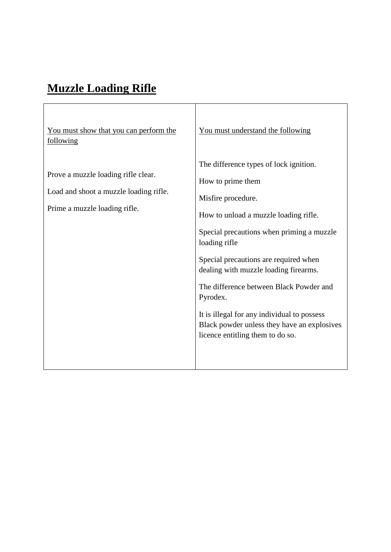# **Muzzle Loading Rifle**

 $\overline{\Gamma}$ 

| You must show that you can perform the<br>following                                                            | You must understand the following                                                                                                                                                                                                                                                                                                                                                                                                                                   |
|----------------------------------------------------------------------------------------------------------------|---------------------------------------------------------------------------------------------------------------------------------------------------------------------------------------------------------------------------------------------------------------------------------------------------------------------------------------------------------------------------------------------------------------------------------------------------------------------|
| Prove a muzzle loading rifle clear.<br>Load and shoot a muzzle loading rifle.<br>Prime a muzzle loading rifle. | The difference types of lock ignition.<br>How to prime them<br>Misfire procedure.<br>How to unload a muzzle loading rifle.<br>Special precautions when priming a muzzle<br>loading rifle<br>Special precautions are required when<br>dealing with muzzle loading firearms.<br>The difference between Black Powder and<br>Pyrodex.<br>It is illegal for any individual to possess<br>Black powder unless they have an explosives<br>licence entitling them to do so. |

<u> 1980 - Johann Barn, mars ann an t-Amhain Aonaich an t-Aonaich an t-Aonaich ann an t-Aonaich ann an t-Aonaich</u>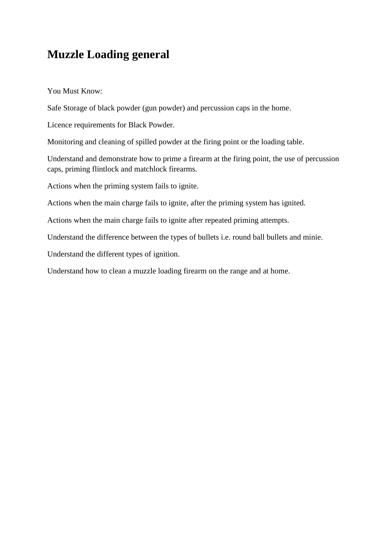## **Muzzle Loading general**

You Must Know:

Safe Storage of black powder (gun powder) and percussion caps in the home.

Licence requirements for Black Powder.

Monitoring and cleaning of spilled powder at the firing point or the loading table.

Understand and demonstrate how to prime a firearm at the firing point, the use of percussion caps, priming flintlock and matchlock firearms.

Actions when the priming system fails to ignite.

Actions when the main charge fails to ignite, after the priming system has ignited.

Actions when the main charge fails to ignite after repeated priming attempts.

Understand the difference between the types of bullets i.e. round ball bullets and minie.

Understand the different types of ignition.

Understand how to clean a muzzle loading firearm on the range and at home.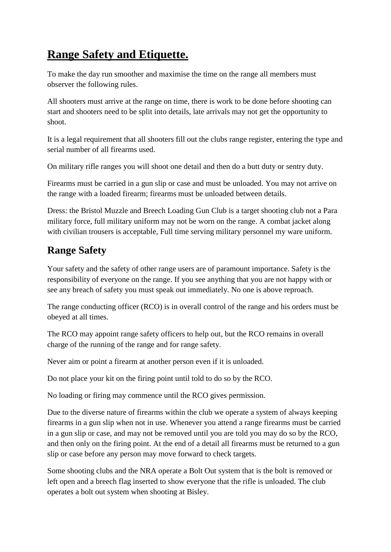## **Range Safety and Etiquette.**

To make the day run smoother and maximise the time on the range all members must observer the following rules.

All shooters must arrive at the range on time, there is work to be done before shooting can start and shooters need to be split into details, late arrivals may not get the opportunity to shoot.

It is a legal requirement that all shooters fill out the clubs range register, entering the type and serial number of all firearms used.

On military rifle ranges you will shoot one detail and then do a butt duty or sentry duty.

Firearms must be carried in a gun slip or case and must be unloaded. You may not arrive on the range with a loaded firearm; firearms must be unloaded between details.

Dress: the Bristol Muzzle and Breech Loading Gun Club is a target shooting club not a Para military force, full military uniform may not be worn on the range. A combat jacket along with civilian trousers is acceptable, Full time serving military personnel my ware uniform.

## **Range Safety**

Your safety and the safety of other range users are of paramount importance. Safety is the responsibility of everyone on the range. If you see anything that you are not happy with or see any breach of safety you must speak out immediately. No one is above reproach.

The range conducting officer (RCO) is in overall control of the range and his orders must be obeyed at all times.

The RCO may appoint range safety officers to help out, but the RCO remains in overall charge of the running of the range and for range safety.

Never aim or point a firearm at another person even if it is unloaded.

Do not place your kit on the firing point until told to do so by the RCO.

No loading or firing may commence until the RCO gives permission.

Due to the diverse nature of firearms within the club we operate a system of always keeping firearms in a gun slip when not in use. Whenever you attend a range firearms must be carried in a gun slip or case, and may not be removed until you are told you may do so by the RCO, and then only on the firing point. At the end of a detail all firearms must be returned to a gun slip or case before any person may move forward to check targets.

Some shooting clubs and the NRA operate a Bolt Out system that is the bolt is removed or left open and a breech flag inserted to show everyone that the rifle is unloaded. The club operates a bolt out system when shooting at Bisley.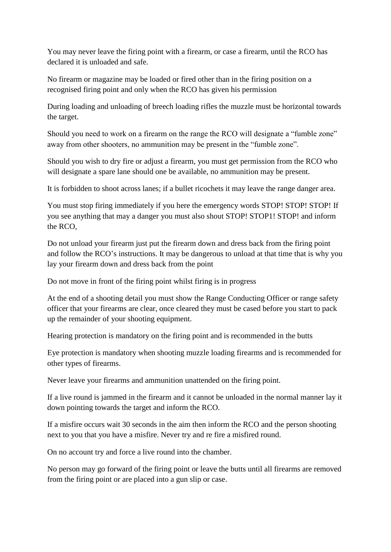You may never leave the firing point with a firearm, or case a firearm, until the RCO has declared it is unloaded and safe.

No firearm or magazine may be loaded or fired other than in the firing position on a recognised firing point and only when the RCO has given his permission

During loading and unloading of breech loading rifles the muzzle must be horizontal towards the target.

Should you need to work on a firearm on the range the RCO will designate a "fumble zone" away from other shooters, no ammunition may be present in the "fumble zone".

Should you wish to dry fire or adjust a firearm, you must get permission from the RCO who will designate a spare lane should one be available, no ammunition may be present.

It is forbidden to shoot across lanes; if a bullet ricochets it may leave the range danger area.

You must stop firing immediately if you here the emergency words STOP! STOP! STOP! If you see anything that may a danger you must also shout STOP! STOP1! STOP! and inform the RCO,

Do not unload your firearm just put the firearm down and dress back from the firing point and follow the RCO's instructions. It may be dangerous to unload at that time that is why you lay your firearm down and dress back from the point

Do not move in front of the firing point whilst firing is in progress

At the end of a shooting detail you must show the Range Conducting Officer or range safety officer that your firearms are clear, once cleared they must be cased before you start to pack up the remainder of your shooting equipment.

Hearing protection is mandatory on the firing point and is recommended in the butts

Eye protection is mandatory when shooting muzzle loading firearms and is recommended for other types of firearms.

Never leave your firearms and ammunition unattended on the firing point.

If a live round is jammed in the firearm and it cannot be unloaded in the normal manner lay it down pointing towards the target and inform the RCO.

If a misfire occurs wait 30 seconds in the aim then inform the RCO and the person shooting next to you that you have a misfire. Never try and re fire a misfired round.

On no account try and force a live round into the chamber.

No person may go forward of the firing point or leave the butts until all firearms are removed from the firing point or are placed into a gun slip or case.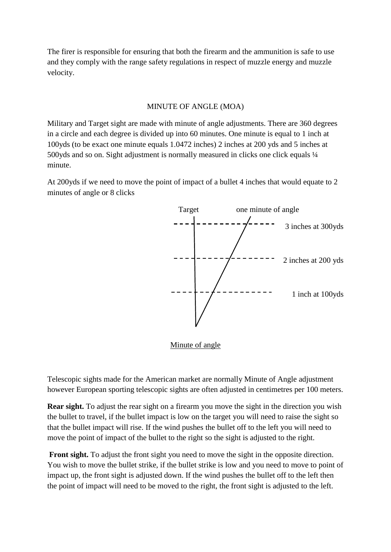The firer is responsible for ensuring that both the firearm and the ammunition is safe to use and they comply with the range safety regulations in respect of muzzle energy and muzzle velocity.

#### MINUTE OF ANGLE (MOA)

Military and Target sight are made with minute of angle adjustments. There are 360 degrees in a circle and each degree is divided up into 60 minutes. One minute is equal to 1 inch at 100yds (to be exact one minute equals 1.0472 inches) 2 inches at 200 yds and 5 inches at 500yds and so on. Sight adjustment is normally measured in clicks one click equals  $\frac{1}{4}$ minute.

At 200yds if we need to move the point of impact of a bullet 4 inches that would equate to 2 minutes of angle or 8 clicks



Minute of angle

Telescopic sights made for the American market are normally Minute of Angle adjustment however European sporting telescopic sights are often adjusted in centimetres per 100 meters.

**Rear sight.** To adjust the rear sight on a firearm you move the sight in the direction you wish the bullet to travel, if the bullet impact is low on the target you will need to raise the sight so that the bullet impact will rise. If the wind pushes the bullet off to the left you will need to move the point of impact of the bullet to the right so the sight is adjusted to the right.

Front sight. To adjust the front sight you need to move the sight in the opposite direction. You wish to move the bullet strike, if the bullet strike is low and you need to move to point of impact up, the front sight is adjusted down. If the wind pushes the bullet off to the left then the point of impact will need to be moved to the right, the front sight is adjusted to the left.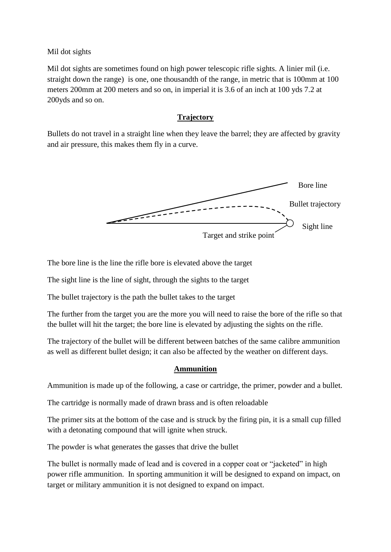Mil dot sights

Mil dot sights are sometimes found on high power telescopic rifle sights. A linier mil (i.e. straight down the range) is one, one thousandth of the range, in metric that is 100mm at 100 meters 200mm at 200 meters and so on, in imperial it is 3.6 of an inch at 100 yds 7.2 at 200yds and so on.

#### **Trajectory**

Bullets do not travel in a straight line when they leave the barrel; they are affected by gravity and air pressure, this makes them fly in a curve.



The bore line is the line the rifle bore is elevated above the target

The sight line is the line of sight, through the sights to the target

The bullet trajectory is the path the bullet takes to the target

The further from the target you are the more you will need to raise the bore of the rifle so that the bullet will hit the target; the bore line is elevated by adjusting the sights on the rifle.

The trajectory of the bullet will be different between batches of the same calibre ammunition as well as different bullet design; it can also be affected by the weather on different days.

#### **Ammunition**

Ammunition is made up of the following, a case or cartridge, the primer, powder and a bullet.

The cartridge is normally made of drawn brass and is often reloadable

The primer sits at the bottom of the case and is struck by the firing pin, it is a small cup filled with a detonating compound that will ignite when struck.

The powder is what generates the gasses that drive the bullet

The bullet is normally made of lead and is covered in a copper coat or "jacketed" in high power rifle ammunition. In sporting ammunition it will be designed to expand on impact, on target or military ammunition it is not designed to expand on impact.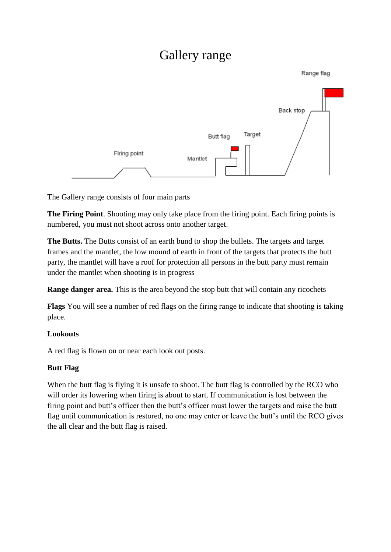## Gallery range



The Gallery range consists of four main parts

**The Firing Point**. Shooting may only take place from the firing point. Each firing points is numbered, you must not shoot across onto another target.

**The Butts.** The Butts consist of an earth bund to shop the bullets. The targets and target frames and the mantlet, the low mound of earth in front of the targets that protects the butt party, the mantlet will have a roof for protection all persons in the butt party must remain under the mantlet when shooting is in progress

**Range danger area.** This is the area beyond the stop butt that will contain any ricochets

**Flags** You will see a number of red flags on the firing range to indicate that shooting is taking place.

#### **Lookouts**

A red flag is flown on or near each look out posts.

#### **Butt Flag**

When the butt flag is flying it is unsafe to shoot. The butt flag is controlled by the RCO who will order its lowering when firing is about to start. If communication is lost between the firing point and butt's officer then the butt's officer must lower the targets and raise the butt flag until communication is restored, no one may enter or leave the butt's until the RCO gives the all clear and the butt flag is raised.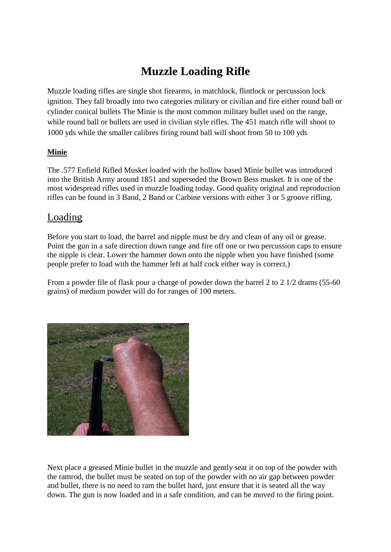## **Muzzle Loading Rifle**

Muzzle loading rifles are single shot firearms, in matchlock, flintlock or percussion lock ignition. They fall broadly into two categories military or civilian and fire either round ball or cylinder conical bullets The Minie is the most common military bullet used on the range, while round ball or bullets are used in civilian style rifles. The 451 match rifle will shoot to 1000 yds while the smaller calibres firing round ball will shoot from 50 to 100 yds

#### **Minie**

The .577 Enfield Rifled Musket loaded with the hollow based Minie bullet was introduced into the British Army around 1851 and superseded the Brown Bess musket. It is one of the most widespread rifles used in muzzle loading today. Good quality original and reproduction rifles can be found in 3 Band, 2 Band or Carbine versions with either 3 or 5 groove rifling.

#### Loading

Before you start to load, the barrel and nipple must be dry and clean of any oil or grease. Point the gun in a safe direction down range and fire off one or two percussion caps to ensure the nipple is clear. Lower the hammer down onto the nipple when you have finished (some people prefer to load with the hammer left at half cock either way is correct.)

From a powder file of flask pour a charge of powder down the barrel 2 to 2 1/2 drams (55-60 grains) of medium powder will do for ranges of 100 meters.



Next place a greased Minie bullet in the muzzle and gently seat it on top of the powder with the ramrod, the bullet must be seated on top of the powder with no air gap between powder and bullet, there is no need to ram the bullet hard, just ensure that it is seated all the way down. The gun is now loaded and in a safe condition, and can be moved to the firing point.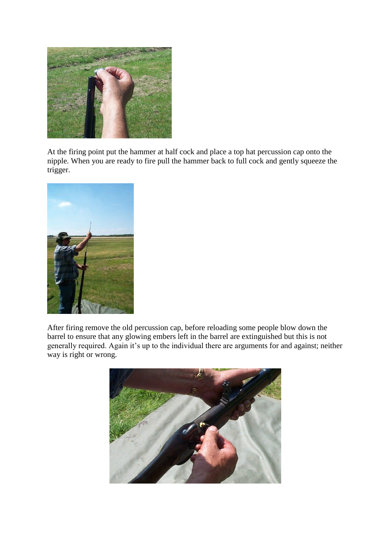

At the firing point put the hammer at half cock and place a top hat percussion cap onto the nipple. When you are ready to fire pull the hammer back to full cock and gently squeeze the trigger.



After firing remove the old percussion cap, before reloading some people blow down the barrel to ensure that any glowing embers left in the barrel are extinguished but this is not generally required. Again it's up to the individual there are arguments for and against; neither way is right or wrong.

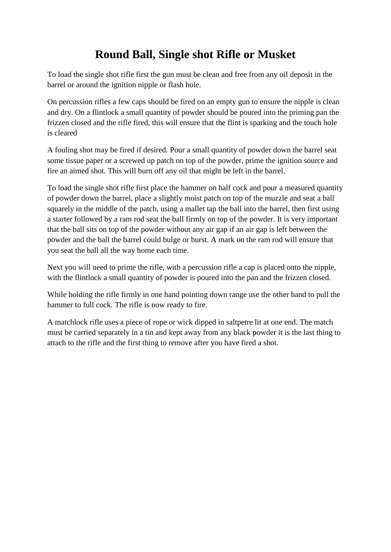## **Round Ball, Single shot Rifle or Musket**

To load the single shot rifle first the gun must be clean and free from any oil deposit in the barrel or around the ignition nipple or flash hole.

On percussion rifles a few caps should be fired on an empty gun to ensure the nipple is clean and dry. On a flintlock a small quantity of powder should be poured into the priming pan the frizzen closed and the rifle fired, this will ensure that the flint is sparking and the touch hole is cleared

A fouling shot may be fired if desired. Pour a small quantity of powder down the barrel seat some tissue paper or a screwed up patch on top of the powder, prime the ignition source and fire an aimed shot. This will burn off any oil that might be left in the barrel.

To load the single shot rifle first place the hammer on half cock and pour a measured quantity of powder down the barrel, place a slightly moist patch on top of the muzzle and seat a ball squarely in the middle of the patch, using a mallet tap the ball into the barrel, then first using a starter followed by a ram rod seat the ball firmly on top of the powder. It is very important that the ball sits on top of the powder without any air gap if an air gap is left between the powder and the ball the barrel could bulge or burst. A mark on the ram rod will ensure that you seat the ball all the way home each time.

Next you will need to prime the rifle, with a percussion rifle a cap is placed onto the nipple, with the flintlock a small quantity of powder is poured into the pan and the frizzen closed.

While holding the rifle firmly in one hand pointing down range use the other hand to pull the hammer to full cock. The rifle is now ready to fire.

A matchlock rifle uses a piece of rope or wick dipped in saltpetre lit at one end. The match must be carried separately in a tin and kept away from any black powder it is the last thing to attach to the rifle and the first thing to remove after you have fired a shot.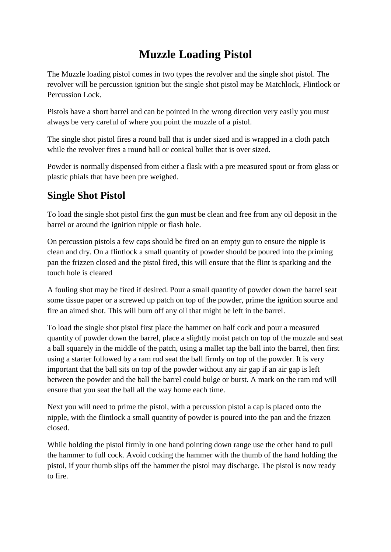## **Muzzle Loading Pistol**

The Muzzle loading pistol comes in two types the revolver and the single shot pistol. The revolver will be percussion ignition but the single shot pistol may be Matchlock, Flintlock or Percussion Lock.

Pistols have a short barrel and can be pointed in the wrong direction very easily you must always be very careful of where you point the muzzle of a pistol.

The single shot pistol fires a round ball that is under sized and is wrapped in a cloth patch while the revolver fires a round ball or conical bullet that is over sized.

Powder is normally dispensed from either a flask with a pre measured spout or from glass or plastic phials that have been pre weighed.

## **Single Shot Pistol**

To load the single shot pistol first the gun must be clean and free from any oil deposit in the barrel or around the ignition nipple or flash hole.

On percussion pistols a few caps should be fired on an empty gun to ensure the nipple is clean and dry. On a flintlock a small quantity of powder should be poured into the priming pan the frizzen closed and the pistol fired, this will ensure that the flint is sparking and the touch hole is cleared

A fouling shot may be fired if desired. Pour a small quantity of powder down the barrel seat some tissue paper or a screwed up patch on top of the powder, prime the ignition source and fire an aimed shot. This will burn off any oil that might be left in the barrel.

To load the single shot pistol first place the hammer on half cock and pour a measured quantity of powder down the barrel, place a slightly moist patch on top of the muzzle and seat a ball squarely in the middle of the patch, using a mallet tap the ball into the barrel, then first using a starter followed by a ram rod seat the ball firmly on top of the powder. It is very important that the ball sits on top of the powder without any air gap if an air gap is left between the powder and the ball the barrel could bulge or burst. A mark on the ram rod will ensure that you seat the ball all the way home each time.

Next you will need to prime the pistol, with a percussion pistol a cap is placed onto the nipple, with the flintlock a small quantity of powder is poured into the pan and the frizzen closed.

While holding the pistol firmly in one hand pointing down range use the other hand to pull the hammer to full cock. Avoid cocking the hammer with the thumb of the hand holding the pistol, if your thumb slips off the hammer the pistol may discharge. The pistol is now ready to fire.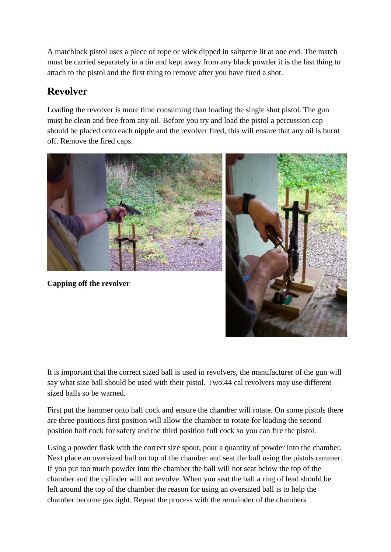A matchlock pistol uses a piece of rope or wick dipped in saltpetre lit at one end. The match must be carried separately in a tin and kept away from any black powder it is the last thing to attach to the pistol and the first thing to remove after you have fired a shot.

## **Revolver**

Loading the revolver is more time consuming than loading the single shot pistol. The gun must be clean and free from any oil. Before you try and load the pistol a percussion cap should be placed onto each nipple and the revolver fired, this will ensure that any oil is burnt off. Remove the fired caps.



**Capping off the revolver**



It is important that the correct sized ball is used in revolvers, the manufacturer of the gun will say what size ball should be used with their pistol. Two.44 cal revolvers may use different sized balls so be warned.

First put the hammer onto half cock and ensure the chamber will rotate. On some pistols there are three positions first position will allow the chamber to rotate for loading the second position half cock for safety and the third position full cock so you can fire the pistol.

Using a powder flask with the correct size spout, pour a quantity of powder into the chamber. Next place an oversized ball on top of the chamber and seat the ball using the pistols rammer. If you put too much powder into the chamber the ball will not seat below the top of the chamber and the cylinder will not revolve. When you seat the ball a ring of lead should be left around the top of the chamber the reason for using an oversized ball is to help the chamber become gas tight. Repeat the process with the remainder of the chambers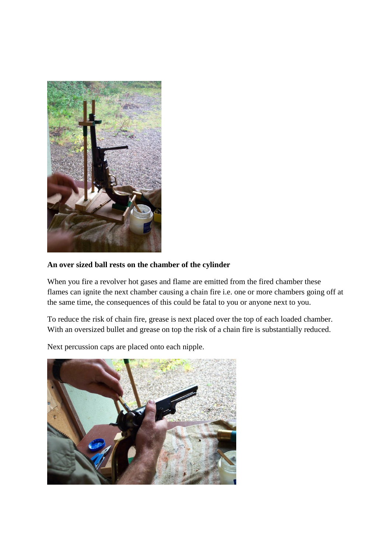

#### **An over sized ball rests on the chamber of the cylinder**

When you fire a revolver hot gases and flame are emitted from the fired chamber these flames can ignite the next chamber causing a chain fire i.e. one or more chambers going off at the same time, the consequences of this could be fatal to you or anyone next to you.

To reduce the risk of chain fire, grease is next placed over the top of each loaded chamber. With an oversized bullet and grease on top the risk of a chain fire is substantially reduced.

Next percussion caps are placed onto each nipple.

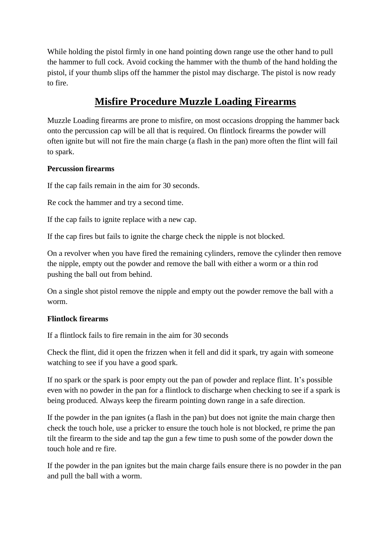While holding the pistol firmly in one hand pointing down range use the other hand to pull the hammer to full cock. Avoid cocking the hammer with the thumb of the hand holding the pistol, if your thumb slips off the hammer the pistol may discharge. The pistol is now ready to fire.

## **Misfire Procedure Muzzle Loading Firearms**

Muzzle Loading firearms are prone to misfire, on most occasions dropping the hammer back onto the percussion cap will be all that is required. On flintlock firearms the powder will often ignite but will not fire the main charge (a flash in the pan) more often the flint will fail to spark.

#### **Percussion firearms**

If the cap fails remain in the aim for 30 seconds.

Re cock the hammer and try a second time.

If the cap fails to ignite replace with a new cap.

If the cap fires but fails to ignite the charge check the nipple is not blocked.

On a revolver when you have fired the remaining cylinders, remove the cylinder then remove the nipple, empty out the powder and remove the ball with either a worm or a thin rod pushing the ball out from behind.

On a single shot pistol remove the nipple and empty out the powder remove the ball with a worm.

#### **Flintlock firearms**

If a flintlock fails to fire remain in the aim for 30 seconds

Check the flint, did it open the frizzen when it fell and did it spark, try again with someone watching to see if you have a good spark.

If no spark or the spark is poor empty out the pan of powder and replace flint. It's possible even with no powder in the pan for a flintlock to discharge when checking to see if a spark is being produced. Always keep the firearm pointing down range in a safe direction.

If the powder in the pan ignites (a flash in the pan) but does not ignite the main charge then check the touch hole, use a pricker to ensure the touch hole is not blocked, re prime the pan tilt the firearm to the side and tap the gun a few time to push some of the powder down the touch hole and re fire.

If the powder in the pan ignites but the main charge fails ensure there is no powder in the pan and pull the ball with a worm.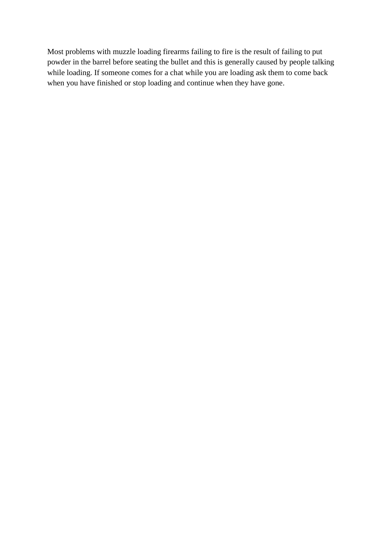Most problems with muzzle loading firearms failing to fire is the result of failing to put powder in the barrel before seating the bullet and this is generally caused by people talking while loading. If someone comes for a chat while you are loading ask them to come back when you have finished or stop loading and continue when they have gone.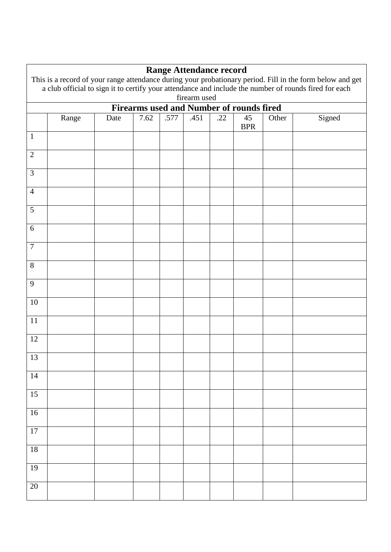|                         | <b>Range Attendance record</b>                                                                                                                                                                                                     |      |      |      |      |     |                                                 |       |        |
|-------------------------|------------------------------------------------------------------------------------------------------------------------------------------------------------------------------------------------------------------------------------|------|------|------|------|-----|-------------------------------------------------|-------|--------|
|                         | This is a record of your range attendance during your probationary period. Fill in the form below and get<br>a club official to sign it to certify your attendance and include the number of rounds fired for each<br>firearm used |      |      |      |      |     |                                                 |       |        |
|                         |                                                                                                                                                                                                                                    |      |      |      |      |     | <b>Firearms used and Number of rounds fired</b> |       |        |
|                         | Range                                                                                                                                                                                                                              | Date | 7.62 | .577 | .451 | .22 | 45<br><b>BPR</b>                                | Other | Signed |
| $\mathbf{1}$            |                                                                                                                                                                                                                                    |      |      |      |      |     |                                                 |       |        |
| $\mathbf{2}$            |                                                                                                                                                                                                                                    |      |      |      |      |     |                                                 |       |        |
| 3                       |                                                                                                                                                                                                                                    |      |      |      |      |     |                                                 |       |        |
| $\overline{4}$          |                                                                                                                                                                                                                                    |      |      |      |      |     |                                                 |       |        |
| 5                       |                                                                                                                                                                                                                                    |      |      |      |      |     |                                                 |       |        |
| $6\,$<br>$\overline{7}$ |                                                                                                                                                                                                                                    |      |      |      |      |     |                                                 |       |        |
| 8                       |                                                                                                                                                                                                                                    |      |      |      |      |     |                                                 |       |        |
| 9                       |                                                                                                                                                                                                                                    |      |      |      |      |     |                                                 |       |        |
| 10                      |                                                                                                                                                                                                                                    |      |      |      |      |     |                                                 |       |        |
| 11                      |                                                                                                                                                                                                                                    |      |      |      |      |     |                                                 |       |        |
| 12                      |                                                                                                                                                                                                                                    |      |      |      |      |     |                                                 |       |        |
| 13                      |                                                                                                                                                                                                                                    |      |      |      |      |     |                                                 |       |        |
| $14$                    |                                                                                                                                                                                                                                    |      |      |      |      |     |                                                 |       |        |
| 15                      |                                                                                                                                                                                                                                    |      |      |      |      |     |                                                 |       |        |
| 16                      |                                                                                                                                                                                                                                    |      |      |      |      |     |                                                 |       |        |
| $\overline{17}$         |                                                                                                                                                                                                                                    |      |      |      |      |     |                                                 |       |        |
| $18\,$                  |                                                                                                                                                                                                                                    |      |      |      |      |     |                                                 |       |        |
| 19                      |                                                                                                                                                                                                                                    |      |      |      |      |     |                                                 |       |        |
| 20                      |                                                                                                                                                                                                                                    |      |      |      |      |     |                                                 |       |        |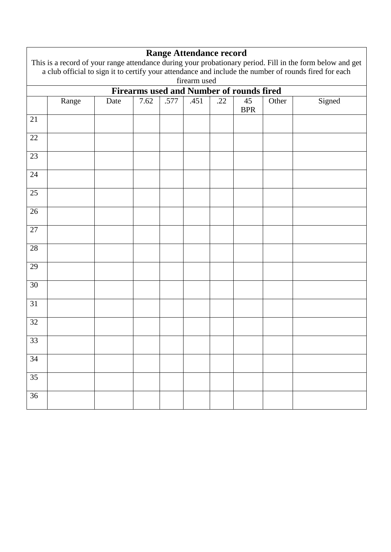|                                                                                                       | This is a record of your range attendance during your probationary period. Fill in the form below and get |      |      |      |      |     |                  |       |        |
|-------------------------------------------------------------------------------------------------------|-----------------------------------------------------------------------------------------------------------|------|------|------|------|-----|------------------|-------|--------|
| a club official to sign it to certify your attendance and include the number of rounds fired for each |                                                                                                           |      |      |      |      |     |                  |       |        |
|                                                                                                       | firearm used                                                                                              |      |      |      |      |     |                  |       |        |
|                                                                                                       | Firearms used and Number of rounds fired                                                                  |      |      |      |      |     |                  |       |        |
|                                                                                                       | Range                                                                                                     | Date | 7.62 | .577 | .451 | .22 | 45<br><b>BPR</b> | Other | Signed |
| 21                                                                                                    |                                                                                                           |      |      |      |      |     |                  |       |        |
|                                                                                                       |                                                                                                           |      |      |      |      |     |                  |       |        |
| 22                                                                                                    |                                                                                                           |      |      |      |      |     |                  |       |        |
|                                                                                                       |                                                                                                           |      |      |      |      |     |                  |       |        |
| 23                                                                                                    |                                                                                                           |      |      |      |      |     |                  |       |        |
|                                                                                                       |                                                                                                           |      |      |      |      |     |                  |       |        |
| 24                                                                                                    |                                                                                                           |      |      |      |      |     |                  |       |        |
|                                                                                                       |                                                                                                           |      |      |      |      |     |                  |       |        |
| 25                                                                                                    |                                                                                                           |      |      |      |      |     |                  |       |        |
| 26                                                                                                    |                                                                                                           |      |      |      |      |     |                  |       |        |
|                                                                                                       |                                                                                                           |      |      |      |      |     |                  |       |        |
| 27                                                                                                    |                                                                                                           |      |      |      |      |     |                  |       |        |
|                                                                                                       |                                                                                                           |      |      |      |      |     |                  |       |        |
| $28\,$                                                                                                |                                                                                                           |      |      |      |      |     |                  |       |        |
|                                                                                                       |                                                                                                           |      |      |      |      |     |                  |       |        |
| 29                                                                                                    |                                                                                                           |      |      |      |      |     |                  |       |        |
| 30                                                                                                    |                                                                                                           |      |      |      |      |     |                  |       |        |
|                                                                                                       |                                                                                                           |      |      |      |      |     |                  |       |        |
| 31                                                                                                    |                                                                                                           |      |      |      |      |     |                  |       |        |
|                                                                                                       |                                                                                                           |      |      |      |      |     |                  |       |        |
| 32                                                                                                    |                                                                                                           |      |      |      |      |     |                  |       |        |
|                                                                                                       |                                                                                                           |      |      |      |      |     |                  |       |        |
| 33                                                                                                    |                                                                                                           |      |      |      |      |     |                  |       |        |
| 34                                                                                                    |                                                                                                           |      |      |      |      |     |                  |       |        |
|                                                                                                       |                                                                                                           |      |      |      |      |     |                  |       |        |
| 35                                                                                                    |                                                                                                           |      |      |      |      |     |                  |       |        |
|                                                                                                       |                                                                                                           |      |      |      |      |     |                  |       |        |
| 36                                                                                                    |                                                                                                           |      |      |      |      |     |                  |       |        |
|                                                                                                       |                                                                                                           |      |      |      |      |     |                  |       |        |

#### **Range Attendance record**